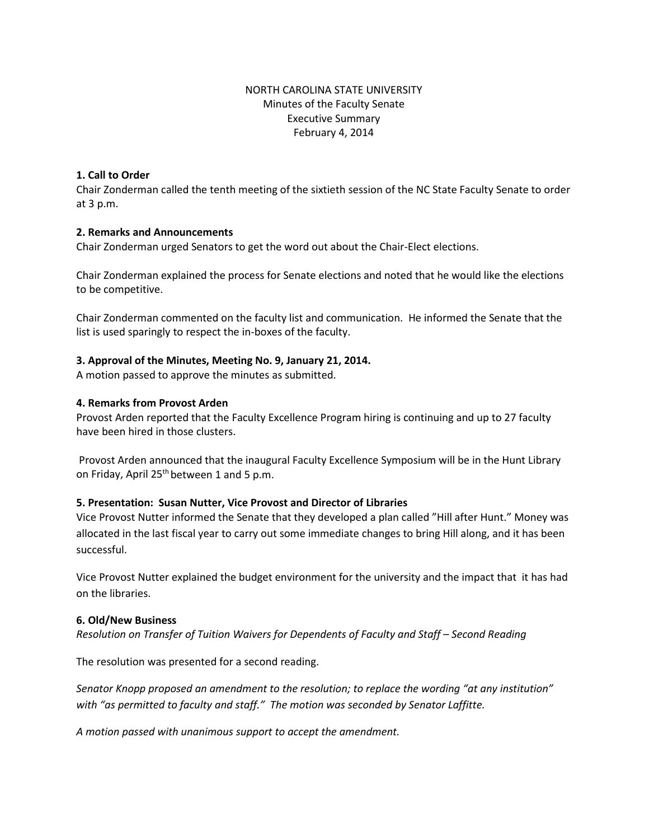## NORTH CAROLINA STATE UNIVERSITY Minutes of the Faculty Senate Executive Summary February 4, 2014

### **1. Call to Order**

Chair Zonderman called the tenth meeting of the sixtieth session of the NC State Faculty Senate to order at 3 p.m.

#### **2. Remarks and Announcements**

Chair Zonderman urged Senators to get the word out about the Chair-Elect elections.

Chair Zonderman explained the process for Senate elections and noted that he would like the elections to be competitive.

Chair Zonderman commented on the faculty list and communication. He informed the Senate that the list is used sparingly to respect the in-boxes of the faculty.

#### **3. Approval of the Minutes, Meeting No. 9, January 21, 2014.**

A motion passed to approve the minutes as submitted.

#### **4. Remarks from Provost Arden**

Provost Arden reported that the Faculty Excellence Program hiring is continuing and up to 27 faculty have been hired in those clusters.

Provost Arden announced that the inaugural Faculty Excellence Symposium will be in the Hunt Library on Friday, April  $25<sup>th</sup>$  between 1 and 5 p.m.

## **5. Presentation: Susan Nutter, Vice Provost and Director of Libraries**

Vice Provost Nutter informed the Senate that they developed a plan called "Hill after Hunt." Money was allocated in the last fiscal year to carry out some immediate changes to bring Hill along, and it has been successful.

Vice Provost Nutter explained the budget environment for the university and the impact that it has had on the libraries.

#### **6. Old/New Business**

*Resolution on Transfer of Tuition Waivers for Dependents of Faculty and Staff – Second Reading* 

The resolution was presented for a second reading.

*Senator Knopp proposed an amendment to the resolution; to replace the wording "at any institution" with "as permitted to faculty and staff." The motion was seconded by Senator Laffitte.* 

*A motion passed with unanimous support to accept the amendment.*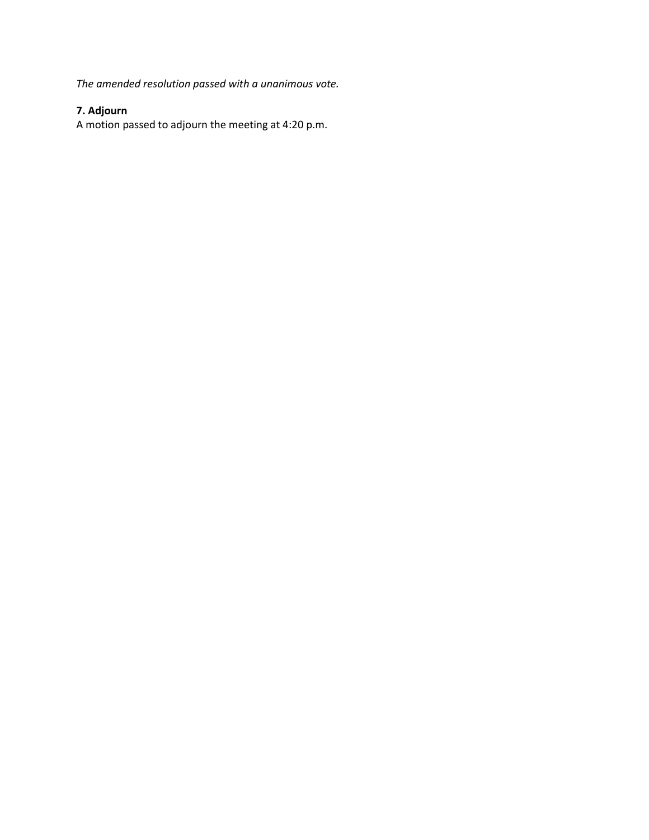*The amended resolution passed with a unanimous vote.* 

# **7. Adjourn**

A motion passed to adjourn the meeting at 4:20 p.m.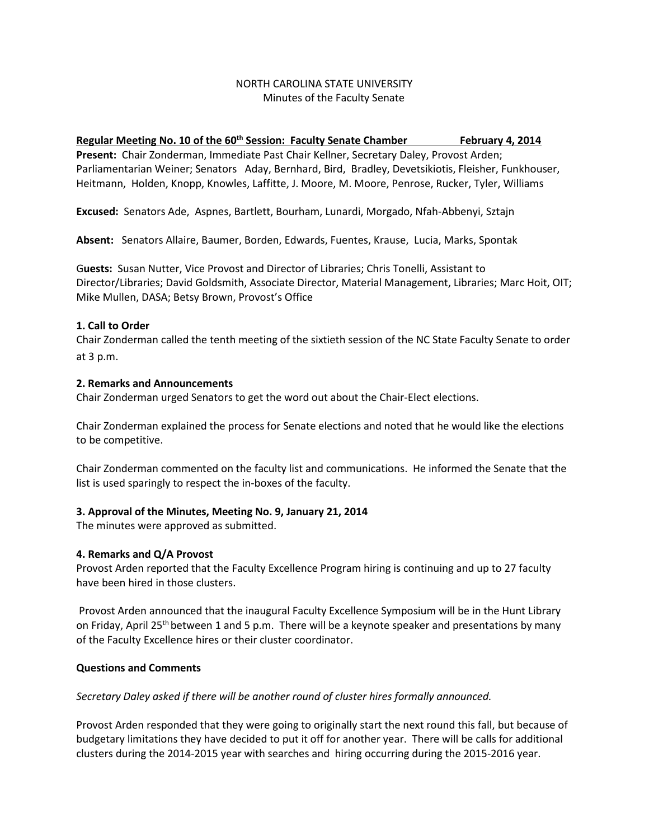## NORTH CAROLINA STATE UNIVERSITY Minutes of the Faculty Senate

## Regular Meeting No. 10 of the 60<sup>th</sup> Session: Faculty Senate Chamber February 4, 2014

**Present:** Chair Zonderman, Immediate Past Chair Kellner, Secretary Daley, Provost Arden; Parliamentarian Weiner; Senators Aday, Bernhard, Bird, Bradley, Devetsikiotis, Fleisher, Funkhouser, Heitmann, Holden, Knopp, Knowles, Laffitte, J. Moore, M. Moore, Penrose, Rucker, Tyler, Williams

**Excused:** Senators Ade, Aspnes, Bartlett, Bourham, Lunardi, Morgado, Nfah-Abbenyi, Sztajn

**Absent:** Senators Allaire, Baumer, Borden, Edwards, Fuentes, Krause, Lucia, Marks, Spontak

G**uests:** Susan Nutter, Vice Provost and Director of Libraries; Chris Tonelli, Assistant to Director/Libraries; David Goldsmith, Associate Director, Material Management, Libraries; Marc Hoit, OIT; Mike Mullen, DASA; Betsy Brown, Provost's Office

#### **1. Call to Order**

Chair Zonderman called the tenth meeting of the sixtieth session of the NC State Faculty Senate to order at 3 p.m.

#### **2. Remarks and Announcements**

Chair Zonderman urged Senators to get the word out about the Chair-Elect elections.

Chair Zonderman explained the process for Senate elections and noted that he would like the elections to be competitive.

Chair Zonderman commented on the faculty list and communications. He informed the Senate that the list is used sparingly to respect the in-boxes of the faculty.

## **3. Approval of the Minutes, Meeting No. 9, January 21, 2014**

The minutes were approved as submitted.

## **4. Remarks and Q/A Provost**

Provost Arden reported that the Faculty Excellence Program hiring is continuing and up to 27 faculty have been hired in those clusters.

Provost Arden announced that the inaugural Faculty Excellence Symposium will be in the Hunt Library on Friday, April 25<sup>th</sup> between 1 and 5 p.m. There will be a keynote speaker and presentations by many of the Faculty Excellence hires or their cluster coordinator.

#### **Questions and Comments**

#### *Secretary Daley asked if there will be another round of cluster hires formally announced.*

Provost Arden responded that they were going to originally start the next round this fall, but because of budgetary limitations they have decided to put it off for another year. There will be calls for additional clusters during the 2014-2015 year with searches and hiring occurring during the 2015-2016 year.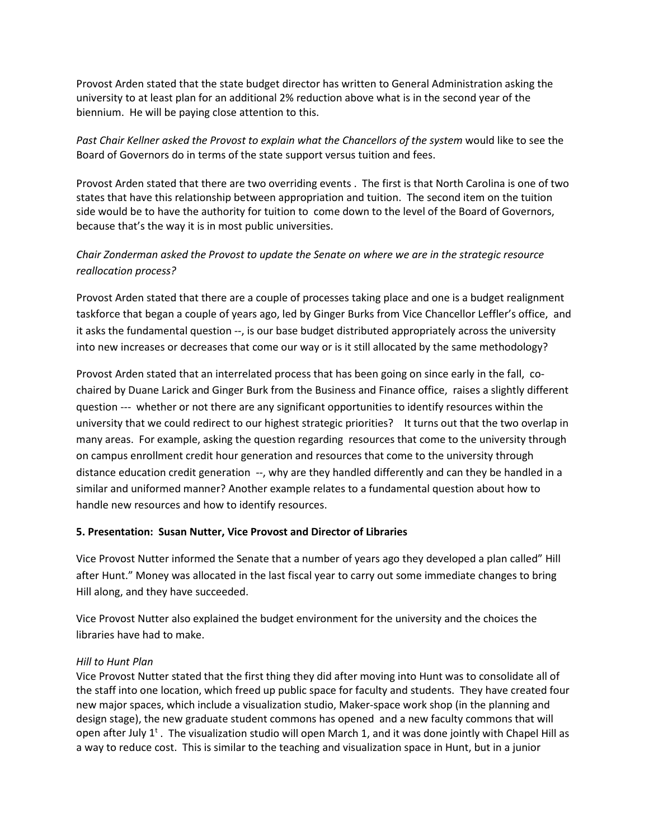Provost Arden stated that the state budget director has written to General Administration asking the university to at least plan for an additional 2% reduction above what is in the second year of the biennium. He will be paying close attention to this.

*Past Chair Kellner asked the Provost to explain what the Chancellors of the system* would like to see the Board of Governors do in terms of the state support versus tuition and fees.

Provost Arden stated that there are two overriding events . The first is that North Carolina is one of two states that have this relationship between appropriation and tuition. The second item on the tuition side would be to have the authority for tuition to come down to the level of the Board of Governors, because that's the way it is in most public universities.

## *Chair Zonderman asked the Provost to update the Senate on where we are in the strategic resource reallocation process?*

Provost Arden stated that there are a couple of processes taking place and one is a budget realignment taskforce that began a couple of years ago, led by Ginger Burks from Vice Chancellor Leffler's office, and it asks the fundamental question --, is our base budget distributed appropriately across the university into new increases or decreases that come our way or is it still allocated by the same methodology?

Provost Arden stated that an interrelated process that has been going on since early in the fall, cochaired by Duane Larick and Ginger Burk from the Business and Finance office, raises a slightly different question --- whether or not there are any significant opportunities to identify resources within the university that we could redirect to our highest strategic priorities? It turns out that the two overlap in many areas. For example, asking the question regarding resources that come to the university through on campus enrollment credit hour generation and resources that come to the university through distance education credit generation --, why are they handled differently and can they be handled in a similar and uniformed manner? Another example relates to a fundamental question about how to handle new resources and how to identify resources.

## **5. Presentation: Susan Nutter, Vice Provost and Director of Libraries**

Vice Provost Nutter informed the Senate that a number of years ago they developed a plan called" Hill after Hunt." Money was allocated in the last fiscal year to carry out some immediate changes to bring Hill along, and they have succeeded.

Vice Provost Nutter also explained the budget environment for the university and the choices the libraries have had to make.

## *Hill to Hunt Plan*

Vice Provost Nutter stated that the first thing they did after moving into Hunt was to consolidate all of the staff into one location, which freed up public space for faculty and students. They have created four new major spaces, which include a visualization studio, Maker-space work shop (in the planning and design stage), the new graduate student commons has opened and a new faculty commons that will open after July  $1<sup>t</sup>$ . The visualization studio will open March 1, and it was done jointly with Chapel Hill as a way to reduce cost. This is similar to the teaching and visualization space in Hunt, but in a junior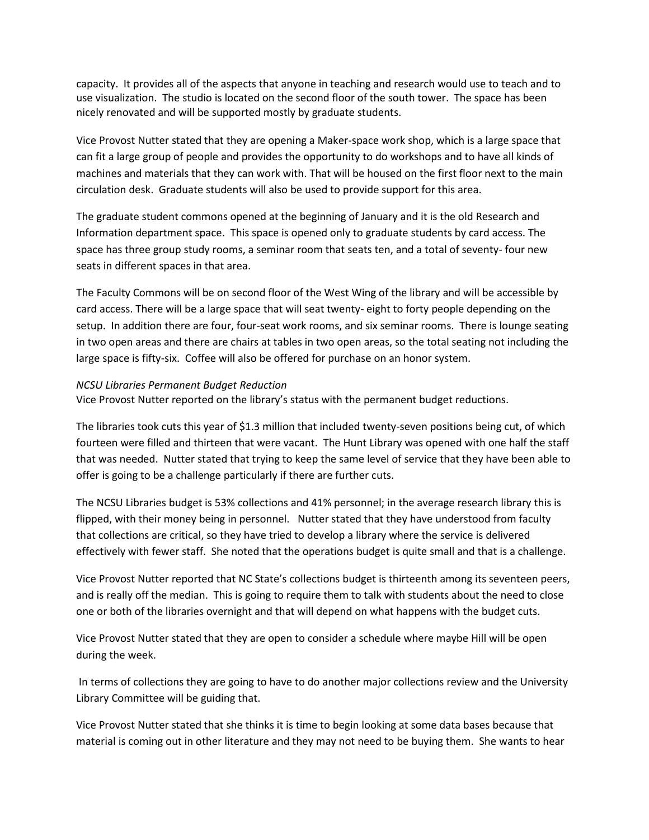capacity. It provides all of the aspects that anyone in teaching and research would use to teach and to use visualization. The studio is located on the second floor of the south tower. The space has been nicely renovated and will be supported mostly by graduate students.

Vice Provost Nutter stated that they are opening a Maker-space work shop, which is a large space that can fit a large group of people and provides the opportunity to do workshops and to have all kinds of machines and materials that they can work with. That will be housed on the first floor next to the main circulation desk. Graduate students will also be used to provide support for this area.

The graduate student commons opened at the beginning of January and it is the old Research and Information department space. This space is opened only to graduate students by card access. The space has three group study rooms, a seminar room that seats ten, and a total of seventy- four new seats in different spaces in that area.

The Faculty Commons will be on second floor of the West Wing of the library and will be accessible by card access. There will be a large space that will seat twenty- eight to forty people depending on the setup. In addition there are four, four-seat work rooms, and six seminar rooms. There is lounge seating in two open areas and there are chairs at tables in two open areas, so the total seating not including the large space is fifty-six. Coffee will also be offered for purchase on an honor system.

#### *NCSU Libraries Permanent Budget Reduction*

Vice Provost Nutter reported on the library's status with the permanent budget reductions.

The libraries took cuts this year of \$1.3 million that included twenty-seven positions being cut, of which fourteen were filled and thirteen that were vacant. The Hunt Library was opened with one half the staff that was needed. Nutter stated that trying to keep the same level of service that they have been able to offer is going to be a challenge particularly if there are further cuts.

The NCSU Libraries budget is 53% collections and 41% personnel; in the average research library this is flipped, with their money being in personnel. Nutter stated that they have understood from faculty that collections are critical, so they have tried to develop a library where the service is delivered effectively with fewer staff. She noted that the operations budget is quite small and that is a challenge.

Vice Provost Nutter reported that NC State's collections budget is thirteenth among its seventeen peers, and is really off the median. This is going to require them to talk with students about the need to close one or both of the libraries overnight and that will depend on what happens with the budget cuts.

Vice Provost Nutter stated that they are open to consider a schedule where maybe Hill will be open during the week.

In terms of collections they are going to have to do another major collections review and the University Library Committee will be guiding that.

Vice Provost Nutter stated that she thinks it is time to begin looking at some data bases because that material is coming out in other literature and they may not need to be buying them. She wants to hear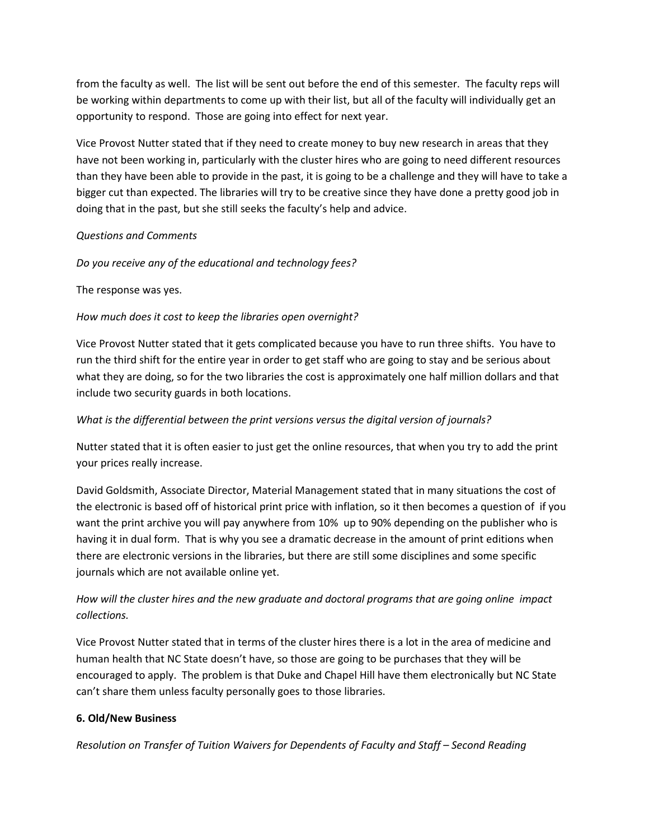from the faculty as well. The list will be sent out before the end of this semester. The faculty reps will be working within departments to come up with their list, but all of the faculty will individually get an opportunity to respond. Those are going into effect for next year.

Vice Provost Nutter stated that if they need to create money to buy new research in areas that they have not been working in, particularly with the cluster hires who are going to need different resources than they have been able to provide in the past, it is going to be a challenge and they will have to take a bigger cut than expected. The libraries will try to be creative since they have done a pretty good job in doing that in the past, but she still seeks the faculty's help and advice.

## *Questions and Comments*

*Do you receive any of the educational and technology fees?*

The response was yes.

## *How much does it cost to keep the libraries open overnight?*

Vice Provost Nutter stated that it gets complicated because you have to run three shifts. You have to run the third shift for the entire year in order to get staff who are going to stay and be serious about what they are doing, so for the two libraries the cost is approximately one half million dollars and that include two security guards in both locations.

## *What is the differential between the print versions versus the digital version of journals?*

Nutter stated that it is often easier to just get the online resources, that when you try to add the print your prices really increase.

David Goldsmith, Associate Director, Material Management stated that in many situations the cost of the electronic is based off of historical print price with inflation, so it then becomes a question of if you want the print archive you will pay anywhere from 10% up to 90% depending on the publisher who is having it in dual form. That is why you see a dramatic decrease in the amount of print editions when there are electronic versions in the libraries, but there are still some disciplines and some specific journals which are not available online yet.

# *How will the cluster hires and the new graduate and doctoral programs that are going online impact collections.*

Vice Provost Nutter stated that in terms of the cluster hires there is a lot in the area of medicine and human health that NC State doesn't have, so those are going to be purchases that they will be encouraged to apply. The problem is that Duke and Chapel Hill have them electronically but NC State can't share them unless faculty personally goes to those libraries.

## **6. Old/New Business**

*Resolution on Transfer of Tuition Waivers for Dependents of Faculty and Staff – Second Reading*